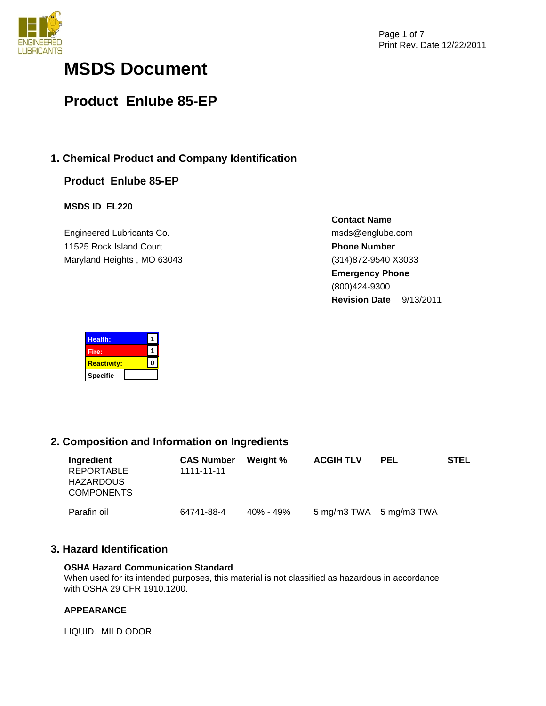

# **MSDS Document**

# **Product Enlube 85-EP**

# **1. Chemical Product and Company Identification**

# **Product Enlube 85-EP**

# **MSDS ID EL220**

Engineered Lubricants Co. 11525 Rock Island Court Maryland Heights , MO 63043 **Contact Name** msds@englube.com **Phone Number** (314)872-9540 X3033 **Emergency Phone** (800)424-9300 **Revision Date** 9/13/2011

| <b>Health:</b>     |  |
|--------------------|--|
| Fire:              |  |
| <b>Reactivity:</b> |  |
| <b>Specific</b>    |  |

# **2. Composition and Information on Ingredients**

| Ingredient<br>REPORTABLE<br><b>HAZARDOUS</b><br><b>COMPONENTS</b> | <b>CAS Number</b><br>1111-11-11 | Weight %  | <b>ACGIH TLV</b>        | <b>PEL</b> | <b>STEL</b> |
|-------------------------------------------------------------------|---------------------------------|-----------|-------------------------|------------|-------------|
| Parafin oil                                                       | 64741-88-4                      | 40% - 49% | 5 mg/m3 TWA 5 mg/m3 TWA |            |             |

# **3. Hazard Identification**

## **OSHA Hazard Communication Standard**

When used for its intended purposes, this material is not classified as hazardous in accordance with OSHA 29 CFR 1910.1200.

# **APPEARANCE**

LIQUID. MILD ODOR.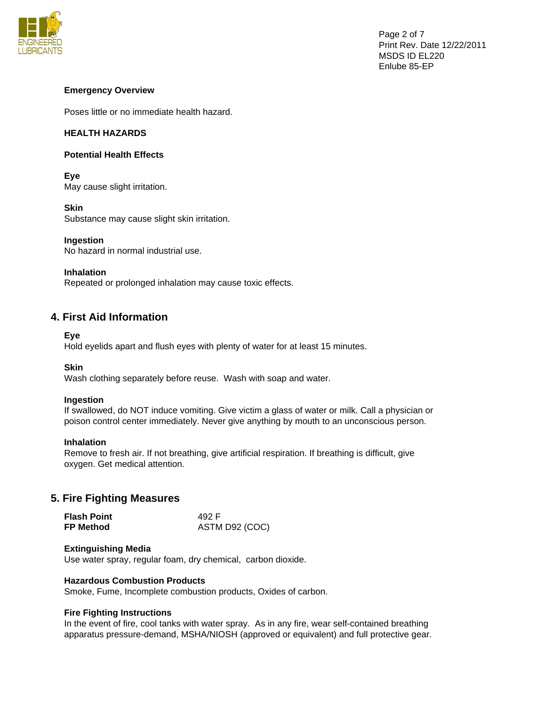

# **Emergency Overview**

Poses little or no immediate health hazard.

# **HEALTH HAZARDS**

# **Potential Health Effects**

**Eye**  May cause slight irritation.

**Skin**  Substance may cause slight skin irritation.

# **Ingestion**

No hazard in normal industrial use.

## **Inhalation**

Repeated or prolonged inhalation may cause toxic effects.

# **4. First Aid Information**

## **Eye**

Hold eyelids apart and flush eyes with plenty of water for at least 15 minutes.

## **Skin**

Wash clothing separately before reuse. Wash with soap and water.

## **Ingestion**

If swallowed, do NOT induce vomiting. Give victim a glass of water or milk. Call a physician or poison control center immediately. Never give anything by mouth to an unconscious person.

## **Inhalation**

Remove to fresh air. If not breathing, give artificial respiration. If breathing is difficult, give oxygen. Get medical attention.

# **5. Fire Fighting Measures**

| <b>Flash Point</b> | 492 F          |
|--------------------|----------------|
| <b>FP Method</b>   | ASTM D92 (COC) |

## **Extinguishing Media**

Use water spray, regular foam, dry chemical, carbon dioxide.

## **Hazardous Combustion Products**

Smoke, Fume, Incomplete combustion products, Oxides of carbon.

## **Fire Fighting Instructions**

In the event of fire, cool tanks with water spray. As in any fire, wear self-contained breathing apparatus pressure-demand, MSHA/NIOSH (approved or equivalent) and full protective gear.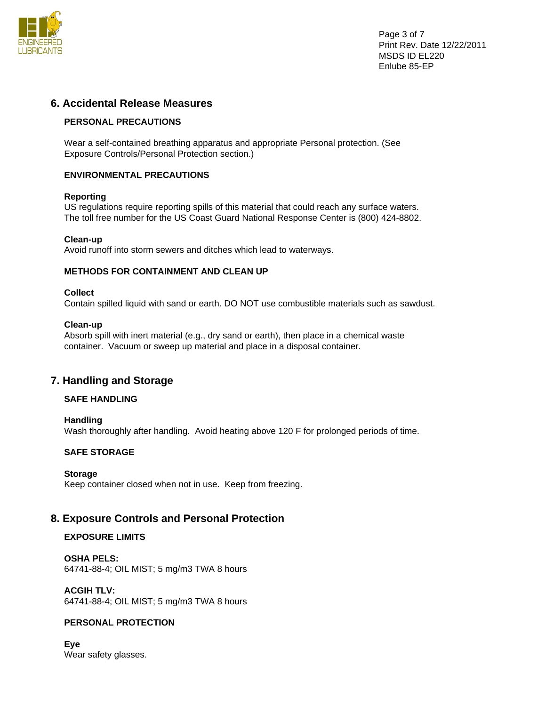

Page 3 of 7 Print Rev. Date 12/22/2011 MSDS ID EL220 Enlube 85-EP

# **6. Accidental Release Measures**

# **PERSONAL PRECAUTIONS**

Wear a self-contained breathing apparatus and appropriate Personal protection. (See Exposure Controls/Personal Protection section.)

# **ENVIRONMENTAL PRECAUTIONS**

# **Reporting**

US regulations require reporting spills of this material that could reach any surface waters. The toll free number for the US Coast Guard National Response Center is (800) 424-8802.

# **Clean-up**

Avoid runoff into storm sewers and ditches which lead to waterways.

# **METHODS FOR CONTAINMENT AND CLEAN UP**

# **Collect**

Contain spilled liquid with sand or earth. DO NOT use combustible materials such as sawdust.

## **Clean-up**

Absorb spill with inert material (e.g., dry sand or earth), then place in a chemical waste container. Vacuum or sweep up material and place in a disposal container.

# **7. Handling and Storage**

# **SAFE HANDLING**

## **Handling**

Wash thoroughly after handling. Avoid heating above 120 F for prolonged periods of time.

## **SAFE STORAGE**

## **Storage**

Keep container closed when not in use. Keep from freezing.

# **8. Exposure Controls and Personal Protection**

## **EXPOSURE LIMITS**

**OSHA PELS:**  64741-88-4; OIL MIST; 5 mg/m3 TWA 8 hours

**ACGIH TLV:**  64741-88-4; OIL MIST; 5 mg/m3 TWA 8 hours

# **PERSONAL PROTECTION**

**Eye**  Wear safety glasses.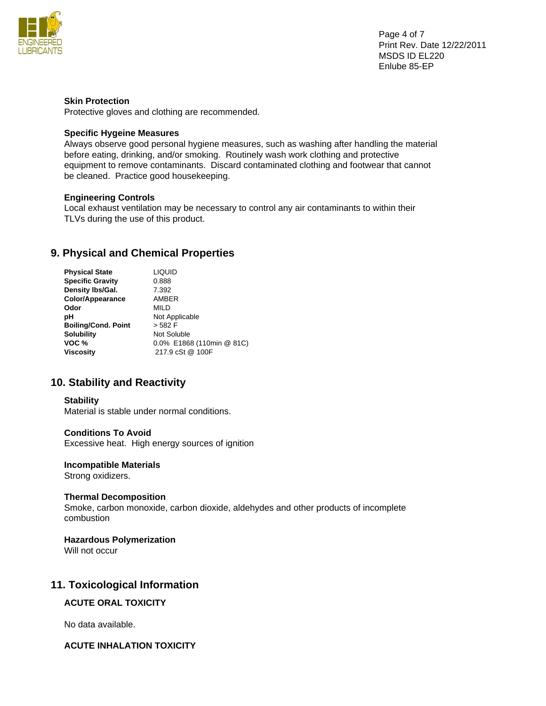

Page 4 of 7 Print Rev. Date 12/22/2011 MSDS ID EL220 Enlube 85-EP

# **Skin Protection**

Protective gloves and clothing are recommended.

## **Specific Hygeine Measures**

Always observe good personal hygiene measures, such as washing after handling the material before eating, drinking, and/or smoking. Routinely wash work clothing and protective equipment to remove contaminants. Discard contaminated clothing and footwear that cannot be cleaned. Practice good housekeeping.

# **Engineering Controls**

Local exhaust ventilation may be necessary to control any air contaminants to within their TLVs during the use of this product.

# **9. Physical and Chemical Properties**

| <b>LIQUID</b>             |
|---------------------------|
| 0.888                     |
| 7.392                     |
| AMBER                     |
| MILD                      |
| Not Applicable            |
| > 582 F                   |
| Not Soluble               |
| 0.0% E1868 (110min @ 81C) |
| 217.9 cSt @ 100F          |
|                           |

# **10. Stability and Reactivity**

## **Stability**

Material is stable under normal conditions.

## **Conditions To Avoid**

Excessive heat. High energy sources of ignition

#### **Incompatible Materials**

Strong oxidizers.

## **Thermal Decomposition**

Smoke, carbon monoxide, carbon dioxide, aldehydes and other products of incomplete combustion

# **Hazardous Polymerization**

Will not occur

# **11. Toxicological Information**

# **ACUTE ORAL TOXICITY**

No data available.

# **ACUTE INHALATION TOXICITY**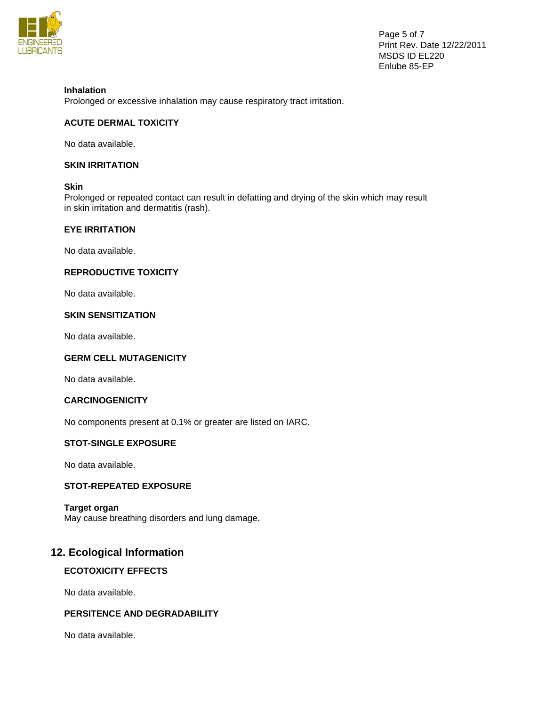

Page 5 of 7 Print Rev. Date 12/22/2011 MSDS ID EL220 Enlube 85-EP

# **Inhalation**

Prolonged or excessive inhalation may cause respiratory tract irritation.

# **ACUTE DERMAL TOXICITY**

No data available.

## **SKIN IRRITATION**

## **Skin**

Prolonged or repeated contact can result in defatting and drying of the skin which may result in skin irritation and dermatitis (rash).

# **EYE IRRITATION**

No data available.

# **REPRODUCTIVE TOXICITY**

No data available.

# **SKIN SENSITIZATION**

No data available.

# **GERM CELL MUTAGENICITY**

No data available.

## **CARCINOGENICITY**

No components present at 0.1% or greater are listed on IARC.

# **STOT-SINGLE EXPOSURE**

No data available.

## **STOT-REPEATED EXPOSURE**

# **Target organ**

May cause breathing disorders and lung damage.

# **12. Ecological Information**

# **ECOTOXICITY EFFECTS**

No data available.

# **PERSITENCE AND DEGRADABILITY**

No data available.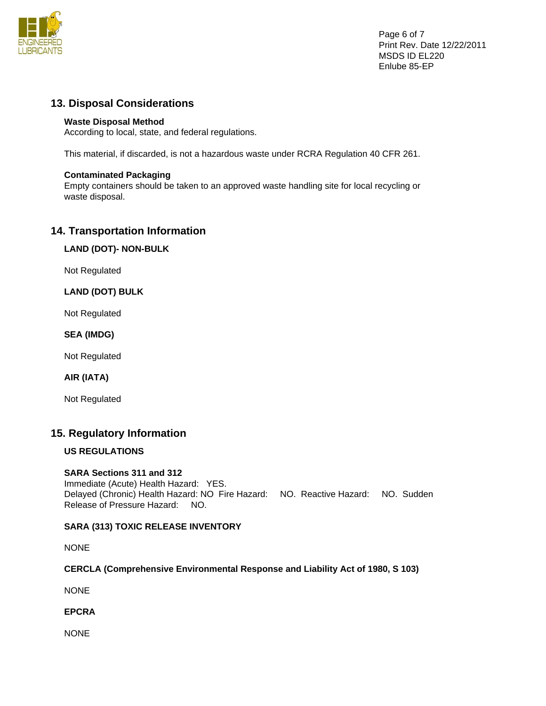

Page 6 of 7 Print Rev. Date 12/22/2011 MSDS ID EL220 Enlube 85-EP

# **13. Disposal Considerations**

# **Waste Disposal Method**

According to local, state, and federal regulations.

This material, if discarded, is not a hazardous waste under RCRA Regulation 40 CFR 261.

# **Contaminated Packaging**

Empty containers should be taken to an approved waste handling site for local recycling or waste disposal.

# **14. Transportation Information**

# **LAND (DOT)- NON-BULK**

Not Regulated

# **LAND (DOT) BULK**

Not Regulated

# **SEA (IMDG)**

Not Regulated

# **AIR (IATA)**

Not Regulated

# **15. Regulatory Information**

# **US REGULATIONS**

# **SARA Sections 311 and 312**

Immediate (Acute) Health Hazard: YES. Delayed (Chronic) Health Hazard: NO Fire Hazard: NO. Reactive Hazard: NO. Sudden Release of Pressure Hazard: NO.

# **SARA (313) TOXIC RELEASE INVENTORY**

NONE

# **CERCLA (Comprehensive Environmental Response and Liability Act of 1980, S 103)**

NONE

**EPCRA** 

NONE